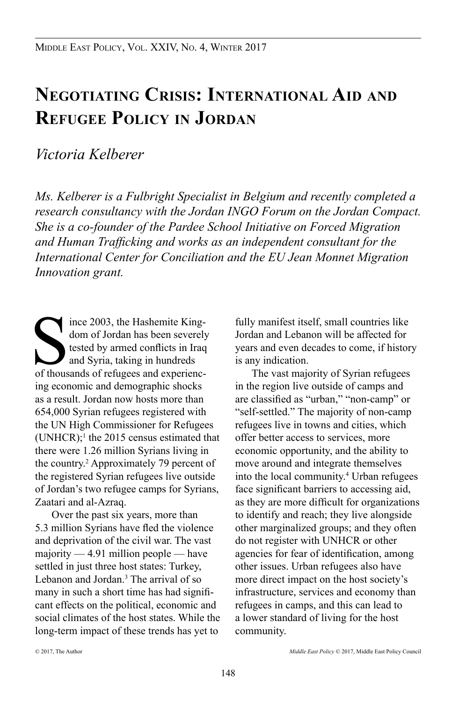# **Negotiating Crisis: International Aid and Refugee Policy in Jordan**

# *Victoria Kelberer*

*Ms. Kelberer is a Fulbright Specialist in Belgium and recently completed a research consultancy with the Jordan INGO Forum on the Jordan Compact. She is a co-founder of the Pardee School Initiative on Forced Migration and Human Trafficking and works as an independent consultant for the International Center for Conciliation and the EU Jean Monnet Migration Innovation grant.*

Software 2003, the Hashemite King-<br>dom of Jordan has been severely<br>tested by armed conflicts in Iraq<br>of thousands of refugees and experiencince 2003, the Hashemite Kingdom of Jordan has been severely tested by armed conflicts in Iraq and Syria, taking in hundreds ing economic and demographic shocks as a result. Jordan now hosts more than 654,000 Syrian refugees registered with the UN High Commissioner for Refugees  $(UNHCR);$ <sup>1</sup> the 2015 census estimated that there were 1.26 million Syrians living in the country.<sup>2</sup> Approximately 79 percent of the registered Syrian refugees live outside of Jordan's two refugee camps for Syrians, Zaatari and al-Azraq.

Over the past six years, more than 5.3 million Syrians have fled the violence and deprivation of the civil war. The vast majority — 4.91 million people — have settled in just three host states: Turkey, Lebanon and Jordan.<sup>3</sup> The arrival of so many in such a short time has had significant effects on the political, economic and social climates of the host states. While the long-term impact of these trends has yet to

fully manifest itself, small countries like Jordan and Lebanon will be affected for years and even decades to come, if history is any indication.

The vast majority of Syrian refugees in the region live outside of camps and are classified as "urban," "non-camp" or "self-settled." The majority of non-camp refugees live in towns and cities, which offer better access to services, more economic opportunity, and the ability to move around and integrate themselves into the local community.4 Urban refugees face significant barriers to accessing aid, as they are more difficult for organizations to identify and reach; they live alongside other marginalized groups; and they often do not register with UNHCR or other agencies for fear of identification, among other issues. Urban refugees also have more direct impact on the host society's infrastructure, services and economy than refugees in camps, and this can lead to a lower standard of living for the host community.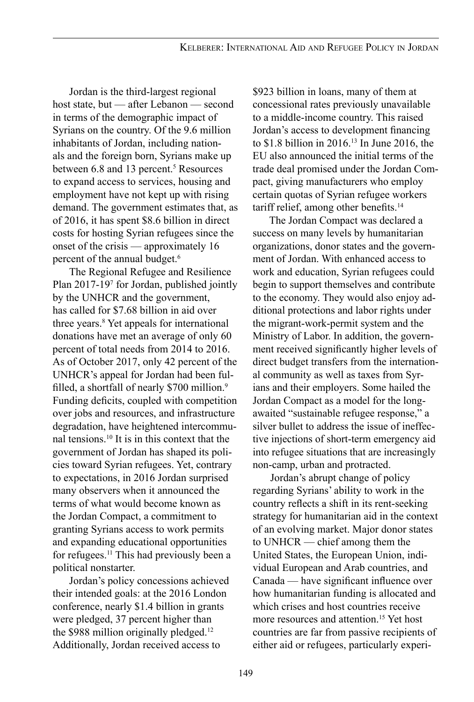Jordan is the third-largest regional host state, but — after Lebanon — second in terms of the demographic impact of Syrians on the country. Of the 9.6 million inhabitants of Jordan, including nationals and the foreign born, Syrians make up between 6.8 and 13 percent.<sup>5</sup> Resources to expand access to services, housing and employment have not kept up with rising demand. The government estimates that, as of 2016, it has spent \$8.6 billion in direct costs for hosting Syrian refugees since the onset of the crisis — approximately 16 percent of the annual budget.<sup>6</sup>

The Regional Refugee and Resilience Plan 2017-197 for Jordan, published jointly by the UNHCR and the government, has called for \$7.68 billion in aid over three years.8 Yet appeals for international donations have met an average of only 60 percent of total needs from 2014 to 2016. As of October 2017, only 42 percent of the UNHCR's appeal for Jordan had been fulfilled, a shortfall of nearly \$700 million.<sup>9</sup> Funding deficits, coupled with competition over jobs and resources, and infrastructure degradation, have heightened intercommunal tensions.10 It is in this context that the government of Jordan has shaped its policies toward Syrian refugees. Yet, contrary to expectations, in 2016 Jordan surprised many observers when it announced the terms of what would become known as the Jordan Compact, a commitment to granting Syrians access to work permits and expanding educational opportunities for refugees.<sup>11</sup> This had previously been a political nonstarter.

Jordan's policy concessions achieved their intended goals: at the 2016 London conference, nearly \$1.4 billion in grants were pledged, 37 percent higher than the \$988 million originally pledged.<sup>12</sup> Additionally, Jordan received access to

\$923 billion in loans, many of them at concessional rates previously unavailable to a middle-income country. This raised Jordan's access to development financing to \$1.8 billion in 2016.13 In June 2016, the EU also announced the initial terms of the trade deal promised under the Jordan Compact, giving manufacturers who employ certain quotas of Syrian refugee workers tariff relief, among other benefits.<sup>14</sup>

The Jordan Compact was declared a success on many levels by humanitarian organizations, donor states and the government of Jordan. With enhanced access to work and education, Syrian refugees could begin to support themselves and contribute to the economy. They would also enjoy additional protections and labor rights under the migrant-work-permit system and the Ministry of Labor. In addition, the government received significantly higher levels of direct budget transfers from the international community as well as taxes from Syrians and their employers. Some hailed the Jordan Compact as a model for the longawaited "sustainable refugee response," a silver bullet to address the issue of ineffective injections of short-term emergency aid into refugee situations that are increasingly non-camp, urban and protracted.

Jordan's abrupt change of policy regarding Syrians' ability to work in the country reflects a shift in its rent-seeking strategy for humanitarian aid in the context of an evolving market. Major donor states to UNHCR — chief among them the United States, the European Union, individual European and Arab countries, and Canada — have significant influence over how humanitarian funding is allocated and which crises and host countries receive more resources and attention.<sup>15</sup> Yet host countries are far from passive recipients of either aid or refugees, particularly experi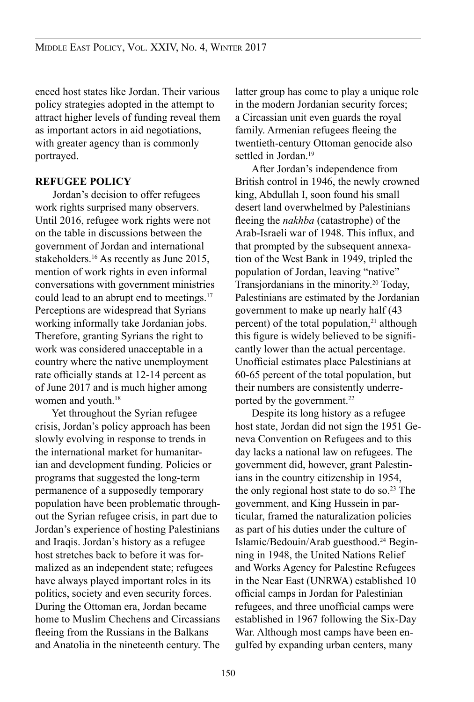enced host states like Jordan. Their various policy strategies adopted in the attempt to attract higher levels of funding reveal them as important actors in aid negotiations, with greater agency than is commonly portrayed.

#### **REFUGEE POLICY**

Jordan's decision to offer refugees work rights surprised many observers. Until 2016, refugee work rights were not on the table in discussions between the government of Jordan and international stakeholders.<sup>16</sup> As recently as June 2015, mention of work rights in even informal conversations with government ministries could lead to an abrupt end to meetings.<sup>17</sup> Perceptions are widespread that Syrians working informally take Jordanian jobs. Therefore, granting Syrians the right to work was considered unacceptable in a country where the native unemployment rate officially stands at 12-14 percent as of June 2017 and is much higher among women and youth.<sup>18</sup>

Yet throughout the Syrian refugee crisis, Jordan's policy approach has been slowly evolving in response to trends in the international market for humanitarian and development funding. Policies or programs that suggested the long-term permanence of a supposedly temporary population have been problematic throughout the Syrian refugee crisis, in part due to Jordan's experience of hosting Palestinians and Iraqis. Jordan's history as a refugee host stretches back to before it was formalized as an independent state; refugees have always played important roles in its politics, society and even security forces. During the Ottoman era, Jordan became home to Muslim Chechens and Circassians fleeing from the Russians in the Balkans and Anatolia in the nineteenth century. The latter group has come to play a unique role in the modern Jordanian security forces; a Circassian unit even guards the royal family. Armenian refugees fleeing the twentieth-century Ottoman genocide also settled in Jordan.<sup>19</sup>

After Jordan's independence from British control in 1946, the newly crowned king, Abdullah I, soon found his small desert land overwhelmed by Palestinians fleeing the *nakhba* (catastrophe) of the Arab-Israeli war of 1948. This influx, and that prompted by the subsequent annexation of the West Bank in 1949, tripled the population of Jordan, leaving "native" Transjordanians in the minority.20 Today, Palestinians are estimated by the Jordanian government to make up nearly half (43 percent) of the total population, $21$  although this figure is widely believed to be significantly lower than the actual percentage. Unofficial estimates place Palestinians at 60-65 percent of the total population, but their numbers are consistently underreported by the government.<sup>22</sup>

Despite its long history as a refugee host state, Jordan did not sign the 1951 Geneva Convention on Refugees and to this day lacks a national law on refugees. The government did, however, grant Palestinians in the country citizenship in 1954, the only regional host state to do so. $23$  The government, and King Hussein in particular, framed the naturalization policies as part of his duties under the culture of Islamic/Bedouin/Arab guesthood.24 Beginning in 1948, the United Nations Relief and Works Agency for Palestine Refugees in the Near East (UNRWA) established 10 official camps in Jordan for Palestinian refugees, and three unofficial camps were established in 1967 following the Six-Day War. Although most camps have been engulfed by expanding urban centers, many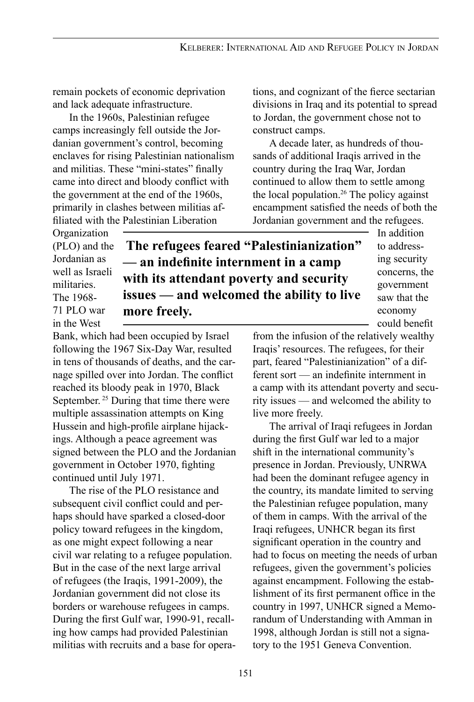remain pockets of economic deprivation and lack adequate infrastructure.

In the 1960s, Palestinian refugee camps increasingly fell outside the Jordanian government's control, becoming enclaves for rising Palestinian nationalism and militias. These "mini-states" finally came into direct and bloody conflict with the government at the end of the 1960s, primarily in clashes between militias affiliated with the Palestinian Liberation

tions, and cognizant of the fierce sectarian divisions in Iraq and its potential to spread to Jordan, the government chose not to construct camps.

A decade later, as hundreds of thousands of additional Iraqis arrived in the country during the Iraq War, Jordan continued to allow them to settle among the local population.<sup>26</sup> The policy against encampment satisfied the needs of both the Jordanian government and the refugees.

Organization (PLO) and the Jordanian as well as Israeli militaries. The 1968- 71 PLO war in the West

# **The refugees feared "Palestinianization" — an indefinite internment in a camp with its attendant poverty and security issues — and welcomed the ability to live more freely.**

In addition to addressing security concerns, the government saw that the economy could benefit

Bank, which had been occupied by Israel following the 1967 Six-Day War, resulted in tens of thousands of deaths, and the carnage spilled over into Jordan. The conflict reached its bloody peak in 1970, Black September.<sup>25</sup> During that time there were multiple assassination attempts on King Hussein and high-profile airplane hijackings. Although a peace agreement was signed between the PLO and the Jordanian live more freely.

continued until July 1971. The rise of the PLO resistance and subsequent civil conflict could and perhaps should have sparked a closed-door policy toward refugees in the kingdom, as one might expect following a near civil war relating to a refugee population. But in the case of the next large arrival of refugees (the Iraqis, 1991-2009), the Jordanian government did not close its borders or warehouse refugees in camps. During the first Gulf war, 1990-91, recalling how camps had provided Palestinian militias with recruits and a base for opera-

government in October 1970, fighting

from the infusion of the relatively wealthy Iraqis' resources. The refugees, for their part, feared "Palestinianization" of a different sort — an indefinite internment in a camp with its attendant poverty and security issues — and welcomed the ability to

The arrival of Iraqi refugees in Jordan during the first Gulf war led to a major shift in the international community's presence in Jordan. Previously, UNRWA had been the dominant refugee agency in the country, its mandate limited to serving the Palestinian refugee population, many of them in camps. With the arrival of the Iraqi refugees, UNHCR began its first significant operation in the country and had to focus on meeting the needs of urban refugees, given the government's policies against encampment. Following the establishment of its first permanent office in the country in 1997, UNHCR signed a Memorandum of Understanding with Amman in 1998, although Jordan is still not a signatory to the 1951 Geneva Convention.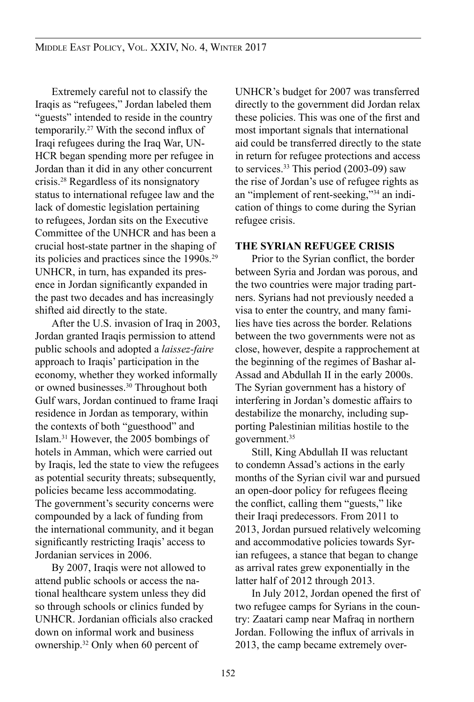Extremely careful not to classify the Iraqis as "refugees," Jordan labeled them "guests" intended to reside in the country temporarily.27 With the second influx of Iraqi refugees during the Iraq War, UN-HCR began spending more per refugee in Jordan than it did in any other concurrent crisis.28 Regardless of its nonsignatory status to international refugee law and the lack of domestic legislation pertaining to refugees, Jordan sits on the Executive Committee of the UNHCR and has been a crucial host-state partner in the shaping of its policies and practices since the 1990s.<sup>29</sup> UNHCR, in turn, has expanded its presence in Jordan significantly expanded in the past two decades and has increasingly shifted aid directly to the state.

After the U.S. invasion of Iraq in 2003, Jordan granted Iraqis permission to attend public schools and adopted a *laissez-faire* approach to Iraqis' participation in the economy, whether they worked informally or owned businesses.30 Throughout both Gulf wars, Jordan continued to frame Iraqi residence in Jordan as temporary, within the contexts of both "guesthood" and Islam.31 However, the 2005 bombings of hotels in Amman, which were carried out by Iraqis, led the state to view the refugees as potential security threats; subsequently, policies became less accommodating. The government's security concerns were compounded by a lack of funding from the international community, and it began significantly restricting Iraqis' access to Jordanian services in 2006.

By 2007, Iraqis were not allowed to attend public schools or access the national healthcare system unless they did so through schools or clinics funded by UNHCR. Jordanian officials also cracked down on informal work and business ownership.32 Only when 60 percent of

UNHCR's budget for 2007 was transferred directly to the government did Jordan relax these policies. This was one of the first and most important signals that international aid could be transferred directly to the state in return for refugee protections and access to services.<sup>33</sup> This period (2003-09) saw the rise of Jordan's use of refugee rights as an "implement of rent-seeking,"34 an indication of things to come during the Syrian refugee crisis.

#### **THE SYRIAN REFUGEE CRISIS**

Prior to the Syrian conflict, the border between Syria and Jordan was porous, and the two countries were major trading partners. Syrians had not previously needed a visa to enter the country, and many families have ties across the border. Relations between the two governments were not as close, however, despite a rapprochement at the beginning of the regimes of Bashar al-Assad and Abdullah II in the early 2000s. The Syrian government has a history of interfering in Jordan's domestic affairs to destabilize the monarchy, including supporting Palestinian militias hostile to the government.<sup>35</sup>

Still, King Abdullah II was reluctant to condemn Assad's actions in the early months of the Syrian civil war and pursued an open-door policy for refugees fleeing the conflict, calling them "guests," like their Iraqi predecessors. From 2011 to 2013, Jordan pursued relatively welcoming and accommodative policies towards Syrian refugees, a stance that began to change as arrival rates grew exponentially in the latter half of 2012 through 2013.

In July 2012, Jordan opened the first of two refugee camps for Syrians in the country: Zaatari camp near Mafraq in northern Jordan. Following the influx of arrivals in 2013, the camp became extremely over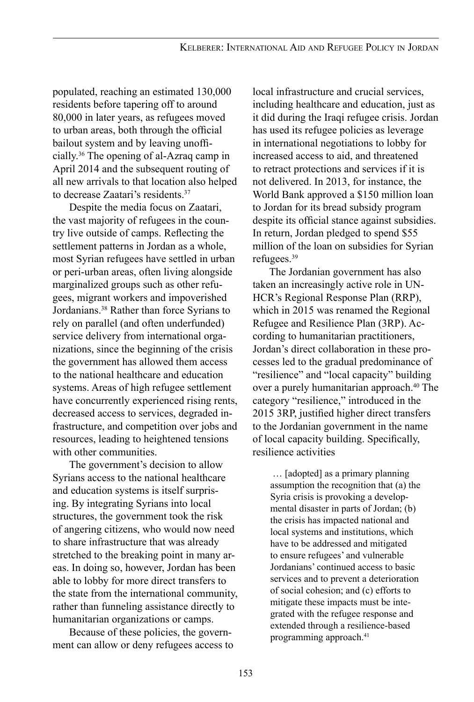populated, reaching an estimated 130,000 residents before tapering off to around 80,000 in later years, as refugees moved to urban areas, both through the official bailout system and by leaving unofficially.36 The opening of al-Azraq camp in April 2014 and the subsequent routing of all new arrivals to that location also helped to decrease Zaatari's residents.37

Despite the media focus on Zaatari, the vast majority of refugees in the country live outside of camps. Reflecting the settlement patterns in Jordan as a whole, most Syrian refugees have settled in urban or peri-urban areas, often living alongside marginalized groups such as other refugees, migrant workers and impoverished Jordanians.38 Rather than force Syrians to rely on parallel (and often underfunded) service delivery from international organizations, since the beginning of the crisis the government has allowed them access to the national healthcare and education systems. Areas of high refugee settlement have concurrently experienced rising rents, decreased access to services, degraded infrastructure, and competition over jobs and resources, leading to heightened tensions with other communities.

The government's decision to allow Syrians access to the national healthcare and education systems is itself surprising. By integrating Syrians into local structures, the government took the risk of angering citizens, who would now need to share infrastructure that was already stretched to the breaking point in many areas. In doing so, however, Jordan has been able to lobby for more direct transfers to the state from the international community, rather than funneling assistance directly to humanitarian organizations or camps.

Because of these policies, the government can allow or deny refugees access to

local infrastructure and crucial services, including healthcare and education, just as it did during the Iraqi refugee crisis. Jordan has used its refugee policies as leverage in international negotiations to lobby for increased access to aid, and threatened to retract protections and services if it is not delivered. In 2013, for instance, the World Bank approved a \$150 million loan to Jordan for its bread subsidy program despite its official stance against subsidies. In return, Jordan pledged to spend \$55 million of the loan on subsidies for Syrian refugees.39

The Jordanian government has also taken an increasingly active role in UN-HCR's Regional Response Plan (RRP), which in 2015 was renamed the Regional Refugee and Resilience Plan (3RP). According to humanitarian practitioners, Jordan's direct collaboration in these processes led to the gradual predominance of "resilience" and "local capacity" building over a purely humanitarian approach.<sup>40</sup> The category "resilience," introduced in the 2015 3RP, justified higher direct transfers to the Jordanian government in the name of local capacity building. Specifically, resilience activities

 … [adopted] as a primary planning assumption the recognition that (a) the Syria crisis is provoking a developmental disaster in parts of Jordan; (b) the crisis has impacted national and local systems and institutions, which have to be addressed and mitigated to ensure refugees' and vulnerable Jordanians' continued access to basic services and to prevent a deterioration of social cohesion; and (c) efforts to mitigate these impacts must be integrated with the refugee response and extended through a resilience-based programming approach.<sup>41</sup>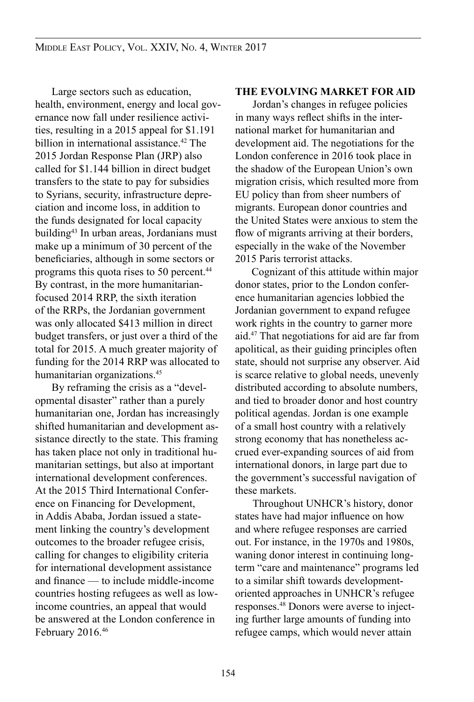Large sectors such as education, health, environment, energy and local governance now fall under resilience activities, resulting in a 2015 appeal for \$1.191 billion in international assistance.<sup>42</sup> The 2015 Jordan Response Plan (JRP) also called for \$1.144 billion in direct budget transfers to the state to pay for subsidies to Syrians, security, infrastructure depreciation and income loss, in addition to the funds designated for local capacity building<sup>43</sup> In urban areas, Jordanians must make up a minimum of 30 percent of the beneficiaries, although in some sectors or programs this quota rises to 50 percent.<sup>44</sup> By contrast, in the more humanitarianfocused 2014 RRP, the sixth iteration of the RRPs, the Jordanian government was only allocated \$413 million in direct budget transfers, or just over a third of the total for 2015. A much greater majority of funding for the 2014 RRP was allocated to humanitarian organizations.<sup>45</sup>

By reframing the crisis as a "developmental disaster" rather than a purely humanitarian one, Jordan has increasingly shifted humanitarian and development assistance directly to the state. This framing has taken place not only in traditional humanitarian settings, but also at important international development conferences. At the 2015 Third International Conference on Financing for Development, in Addis Ababa, Jordan issued a statement linking the country's development outcomes to the broader refugee crisis, calling for changes to eligibility criteria for international development assistance and finance — to include middle-income countries hosting refugees as well as lowincome countries, an appeal that would be answered at the London conference in February 2016.<sup>46</sup>

#### **THE EVOLVING MARKET FOR AID**

Jordan's changes in refugee policies in many ways reflect shifts in the international market for humanitarian and development aid. The negotiations for the London conference in 2016 took place in the shadow of the European Union's own migration crisis, which resulted more from EU policy than from sheer numbers of migrants. European donor countries and the United States were anxious to stem the flow of migrants arriving at their borders, especially in the wake of the November 2015 Paris terrorist attacks.

Cognizant of this attitude within major donor states, prior to the London conference humanitarian agencies lobbied the Jordanian government to expand refugee work rights in the country to garner more aid.47 That negotiations for aid are far from apolitical, as their guiding principles often state, should not surprise any observer. Aid is scarce relative to global needs, unevenly distributed according to absolute numbers, and tied to broader donor and host country political agendas. Jordan is one example of a small host country with a relatively strong economy that has nonetheless accrued ever-expanding sources of aid from international donors, in large part due to the government's successful navigation of these markets.

Throughout UNHCR's history, donor states have had major influence on how and where refugee responses are carried out. For instance, in the 1970s and 1980s, waning donor interest in continuing longterm "care and maintenance" programs led to a similar shift towards developmentoriented approaches in UNHCR's refugee responses.48 Donors were averse to injecting further large amounts of funding into refugee camps, which would never attain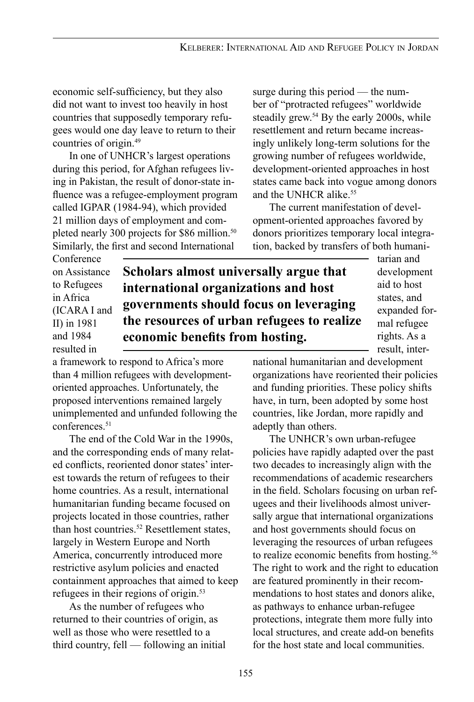economic self-sufficiency, but they also did not want to invest too heavily in host countries that supposedly temporary refugees would one day leave to return to their countries of origin.49

In one of UNHCR's largest operations during this period, for Afghan refugees living in Pakistan, the result of donor-state influence was a refugee-employment program called IGPAR (1984-94), which provided 21 million days of employment and completed nearly 300 projects for \$86 million.<sup>50</sup> Similarly, the first and second International

surge during this period — the number of "protracted refugees" worldwide steadily grew.<sup>54</sup> By the early 2000s, while resettlement and return became increasingly unlikely long-term solutions for the growing number of refugees worldwide, development-oriented approaches in host states came back into vogue among donors and the UNHCR alike<sup>55</sup>

The current manifestation of development-oriented approaches favored by donors prioritizes temporary local integration, backed by transfers of both humani-

Conference on Assistance to Refugees in Africa (ICARA I and II) in 1981 and 1984 resulted in

**Scholars almost universally argue that international organizations and host governments should focus on leveraging the resources of urban refugees to realize economic benefits from hosting.**

tarian and development aid to host states, and expanded formal refugee rights. As a result, inter-

a framework to respond to Africa's more than 4 million refugees with developmentoriented approaches. Unfortunately, the proposed interventions remained largely unimplemented and unfunded following the conferences.<sup>51</sup>

The end of the Cold War in the 1990s, and the corresponding ends of many related conflicts, reoriented donor states' interest towards the return of refugees to their home countries. As a result, international humanitarian funding became focused on projects located in those countries, rather than host countries.<sup>52</sup> Resettlement states, largely in Western Europe and North America, concurrently introduced more restrictive asylum policies and enacted containment approaches that aimed to keep refugees in their regions of origin.53

As the number of refugees who returned to their countries of origin, as well as those who were resettled to a third country, fell — following an initial national humanitarian and development organizations have reoriented their policies and funding priorities. These policy shifts have, in turn, been adopted by some host countries, like Jordan, more rapidly and adeptly than others.

The UNHCR's own urban-refugee policies have rapidly adapted over the past two decades to increasingly align with the recommendations of academic researchers in the field. Scholars focusing on urban refugees and their livelihoods almost universally argue that international organizations and host governments should focus on leveraging the resources of urban refugees to realize economic benefits from hosting.<sup>56</sup> The right to work and the right to education are featured prominently in their recommendations to host states and donors alike, as pathways to enhance urban-refugee protections, integrate them more fully into local structures, and create add-on benefits for the host state and local communities.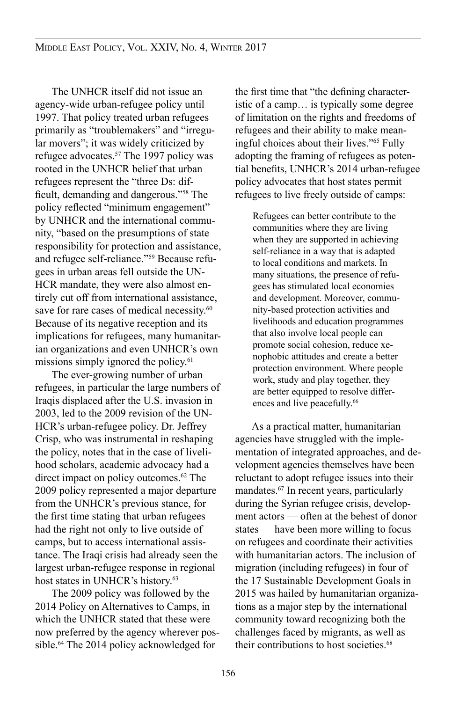The UNHCR itself did not issue an agency-wide urban-refugee policy until 1997. That policy treated urban refugees primarily as "troublemakers" and "irregular movers"; it was widely criticized by refugee advocates.57 The 1997 policy was rooted in the UNHCR belief that urban refugees represent the "three Ds: difficult, demanding and dangerous."58 The policy reflected "minimum engagement" by UNHCR and the international community, "based on the presumptions of state responsibility for protection and assistance, and refugee self-reliance."59 Because refugees in urban areas fell outside the UN-HCR mandate, they were also almost entirely cut off from international assistance, save for rare cases of medical necessity.<sup>60</sup> Because of its negative reception and its implications for refugees, many humanitarian organizations and even UNHCR's own missions simply ignored the policy.<sup>61</sup>

The ever-growing number of urban refugees, in particular the large numbers of Iraqis displaced after the U.S. invasion in 2003, led to the 2009 revision of the UN-HCR's urban-refugee policy. Dr. Jeffrey Crisp, who was instrumental in reshaping the policy, notes that in the case of livelihood scholars, academic advocacy had a direct impact on policy outcomes.<sup>62</sup> The 2009 policy represented a major departure from the UNHCR's previous stance, for the first time stating that urban refugees had the right not only to live outside of camps, but to access international assistance. The Iraqi crisis had already seen the largest urban-refugee response in regional host states in UNHCR's history.<sup>63</sup>

The 2009 policy was followed by the 2014 Policy on Alternatives to Camps, in which the UNHCR stated that these were now preferred by the agency wherever possible.<sup>64</sup> The 2014 policy acknowledged for

the first time that "the defining characteristic of a camp… is typically some degree of limitation on the rights and freedoms of refugees and their ability to make meaningful choices about their lives."65 Fully adopting the framing of refugees as potential benefits, UNHCR's 2014 urban-refugee policy advocates that host states permit refugees to live freely outside of camps:

Refugees can better contribute to the communities where they are living when they are supported in achieving self-reliance in a way that is adapted to local conditions and markets. In many situations, the presence of refugees has stimulated local economies and development. Moreover, community-based protection activities and livelihoods and education programmes that also involve local people can promote social cohesion, reduce xenophobic attitudes and create a better protection environment. Where people work, study and play together, they are better equipped to resolve differences and live peacefully.<sup>66</sup>

As a practical matter, humanitarian agencies have struggled with the implementation of integrated approaches, and development agencies themselves have been reluctant to adopt refugee issues into their mandates.67 In recent years, particularly during the Syrian refugee crisis, development actors — often at the behest of donor states — have been more willing to focus on refugees and coordinate their activities with humanitarian actors. The inclusion of migration (including refugees) in four of the 17 Sustainable Development Goals in 2015 was hailed by humanitarian organizations as a major step by the international community toward recognizing both the challenges faced by migrants, as well as their contributions to host societies.<sup>68</sup>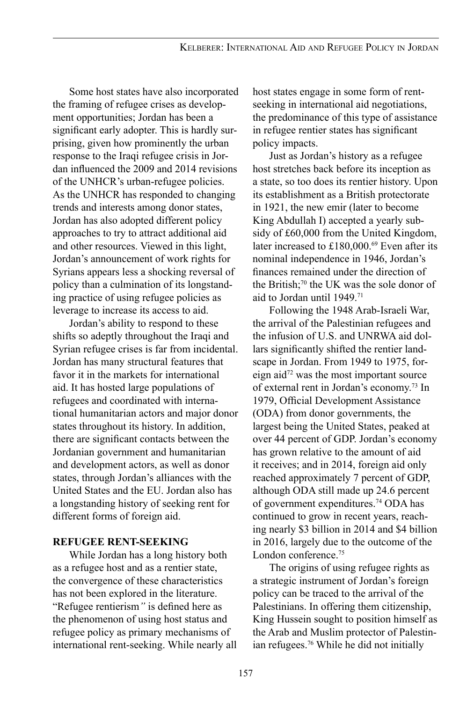Some host states have also incorporated the framing of refugee crises as development opportunities; Jordan has been a significant early adopter. This is hardly surprising, given how prominently the urban response to the Iraqi refugee crisis in Jordan influenced the 2009 and 2014 revisions of the UNHCR's urban-refugee policies. As the UNHCR has responded to changing trends and interests among donor states, Jordan has also adopted different policy approaches to try to attract additional aid and other resources. Viewed in this light, Jordan's announcement of work rights for Syrians appears less a shocking reversal of policy than a culmination of its longstanding practice of using refugee policies as leverage to increase its access to aid.

Jordan's ability to respond to these shifts so adeptly throughout the Iraqi and Syrian refugee crises is far from incidental. Jordan has many structural features that favor it in the markets for international aid. It has hosted large populations of refugees and coordinated with international humanitarian actors and major donor states throughout its history. In addition, there are significant contacts between the Jordanian government and humanitarian and development actors, as well as donor states, through Jordan's alliances with the United States and the EU. Jordan also has a longstanding history of seeking rent for different forms of foreign aid.

### **REFUGEE RENT-SEEKING**

While Jordan has a long history both as a refugee host and as a rentier state, the convergence of these characteristics has not been explored in the literature. "Refugee rentierism*"* is defined here as the phenomenon of using host status and refugee policy as primary mechanisms of international rent-seeking. While nearly all host states engage in some form of rentseeking in international aid negotiations, the predominance of this type of assistance in refugee rentier states has significant policy impacts.

Just as Jordan's history as a refugee host stretches back before its inception as a state, so too does its rentier history. Upon its establishment as a British protectorate in 1921, the new emir (later to become King Abdullah I) accepted a yearly subsidy of £60,000 from the United Kingdom, later increased to £180,000.<sup>69</sup> Even after its nominal independence in 1946, Jordan's finances remained under the direction of the British;<sup>70</sup> the UK was the sole donor of aid to Jordan until 1949.71

Following the 1948 Arab-Israeli War, the arrival of the Palestinian refugees and the infusion of U.S. and UNRWA aid dollars significantly shifted the rentier landscape in Jordan. From 1949 to 1975, foreign aid<sup>72</sup> was the most important source of external rent in Jordan's economy.73 In 1979, Official Development Assistance (ODA) from donor governments, the largest being the United States, peaked at over 44 percent of GDP. Jordan's economy has grown relative to the amount of aid it receives; and in 2014, foreign aid only reached approximately 7 percent of GDP, although ODA still made up 24.6 percent of government expenditures.74 ODA has continued to grow in recent years, reaching nearly \$3 billion in 2014 and \$4 billion in 2016, largely due to the outcome of the London conference.75

The origins of using refugee rights as a strategic instrument of Jordan's foreign policy can be traced to the arrival of the Palestinians. In offering them citizenship, King Hussein sought to position himself as the Arab and Muslim protector of Palestinian refugees.<sup>76</sup> While he did not initially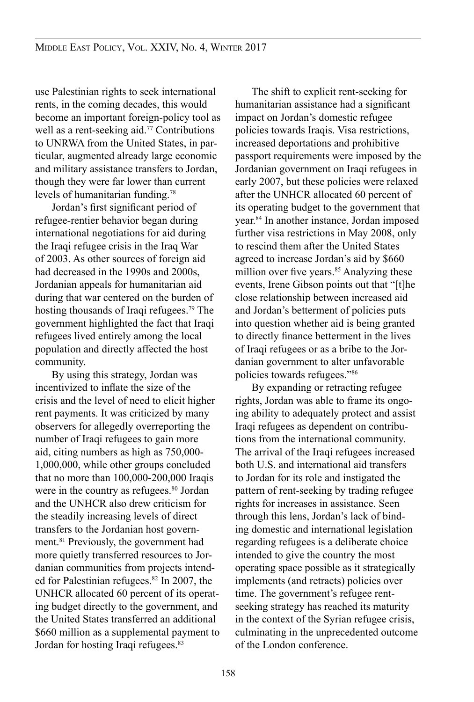use Palestinian rights to seek international rents, in the coming decades, this would become an important foreign-policy tool as well as a rent-seeking aid.<sup>77</sup> Contributions to UNRWA from the United States, in particular, augmented already large economic and military assistance transfers to Jordan, though they were far lower than current levels of humanitarian funding.78

Jordan's first significant period of refugee-rentier behavior began during international negotiations for aid during the Iraqi refugee crisis in the Iraq War of 2003. As other sources of foreign aid had decreased in the 1990s and 2000s, Jordanian appeals for humanitarian aid during that war centered on the burden of hosting thousands of Iraqi refugees.<sup>79</sup> The government highlighted the fact that Iraqi refugees lived entirely among the local population and directly affected the host community.

By using this strategy, Jordan was incentivized to inflate the size of the crisis and the level of need to elicit higher rent payments. It was criticized by many observers for allegedly overreporting the number of Iraqi refugees to gain more aid, citing numbers as high as 750,000- 1,000,000, while other groups concluded that no more than 100,000-200,000 Iraqis were in the country as refugees.<sup>80</sup> Jordan and the UNHCR also drew criticism for the steadily increasing levels of direct transfers to the Jordanian host government.81 Previously, the government had more quietly transferred resources to Jordanian communities from projects intended for Palestinian refugees.<sup>82</sup> In 2007, the UNHCR allocated 60 percent of its operating budget directly to the government, and the United States transferred an additional \$660 million as a supplemental payment to Jordan for hosting Iraqi refugees.<sup>83</sup>

The shift to explicit rent-seeking for humanitarian assistance had a significant impact on Jordan's domestic refugee policies towards Iraqis. Visa restrictions, increased deportations and prohibitive passport requirements were imposed by the Jordanian government on Iraqi refugees in early 2007, but these policies were relaxed after the UNHCR allocated 60 percent of its operating budget to the government that year.84 In another instance, Jordan imposed further visa restrictions in May 2008, only to rescind them after the United States agreed to increase Jordan's aid by \$660 million over five years.<sup>85</sup> Analyzing these events, Irene Gibson points out that "[t]he close relationship between increased aid and Jordan's betterment of policies puts into question whether aid is being granted to directly finance betterment in the lives of Iraqi refugees or as a bribe to the Jordanian government to alter unfavorable policies towards refugees."<sup>86</sup>

By expanding or retracting refugee rights, Jordan was able to frame its ongoing ability to adequately protect and assist Iraqi refugees as dependent on contributions from the international community. The arrival of the Iraqi refugees increased both U.S. and international aid transfers to Jordan for its role and instigated the pattern of rent-seeking by trading refugee rights for increases in assistance. Seen through this lens, Jordan's lack of binding domestic and international legislation regarding refugees is a deliberate choice intended to give the country the most operating space possible as it strategically implements (and retracts) policies over time. The government's refugee rentseeking strategy has reached its maturity in the context of the Syrian refugee crisis, culminating in the unprecedented outcome of the London conference.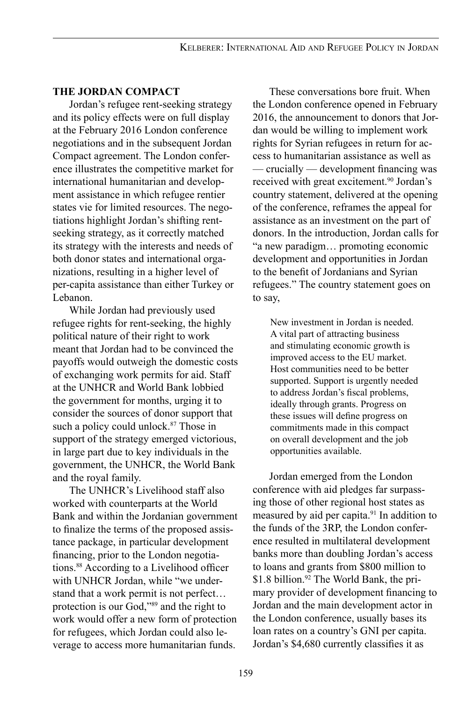### **THE JORDAN COMPACT**

Jordan's refugee rent-seeking strategy and its policy effects were on full display at the February 2016 London conference negotiations and in the subsequent Jordan Compact agreement. The London conference illustrates the competitive market for international humanitarian and development assistance in which refugee rentier states vie for limited resources. The negotiations highlight Jordan's shifting rentseeking strategy, as it correctly matched its strategy with the interests and needs of both donor states and international organizations, resulting in a higher level of per-capita assistance than either Turkey or Lebanon.

While Jordan had previously used refugee rights for rent-seeking, the highly political nature of their right to work meant that Jordan had to be convinced the payoffs would outweigh the domestic costs of exchanging work permits for aid. Staff at the UNHCR and World Bank lobbied the government for months, urging it to consider the sources of donor support that such a policy could unlock.<sup>87</sup> Those in support of the strategy emerged victorious, in large part due to key individuals in the government, the UNHCR, the World Bank and the royal family.

The UNHCR's Livelihood staff also worked with counterparts at the World Bank and within the Jordanian government to finalize the terms of the proposed assistance package, in particular development financing, prior to the London negotiations.88 According to a Livelihood officer with UNHCR Jordan, while "we understand that a work permit is not perfect… protection is our God,"89 and the right to work would offer a new form of protection for refugees, which Jordan could also leverage to access more humanitarian funds.

These conversations bore fruit. When the London conference opened in February 2016, the announcement to donors that Jordan would be willing to implement work rights for Syrian refugees in return for access to humanitarian assistance as well as — crucially — development financing was received with great excitement.<sup>90</sup> Jordan's country statement, delivered at the opening of the conference, reframes the appeal for assistance as an investment on the part of donors. In the introduction, Jordan calls for "a new paradigm… promoting economic development and opportunities in Jordan to the benefit of Jordanians and Syrian refugees." The country statement goes on to say,

New investment in Jordan is needed. A vital part of attracting business and stimulating economic growth is improved access to the EU market. Host communities need to be better supported. Support is urgently needed to address Jordan's fiscal problems, ideally through grants. Progress on these issues will define progress on commitments made in this compact on overall development and the job opportunities available.

Jordan emerged from the London conference with aid pledges far surpassing those of other regional host states as measured by aid per capita.<sup>91</sup> In addition to the funds of the 3RP, the London conference resulted in multilateral development banks more than doubling Jordan's access to loans and grants from \$800 million to \$1.8 billion.<sup>92</sup> The World Bank, the primary provider of development financing to Jordan and the main development actor in the London conference, usually bases its loan rates on a country's GNI per capita. Jordan's \$4,680 currently classifies it as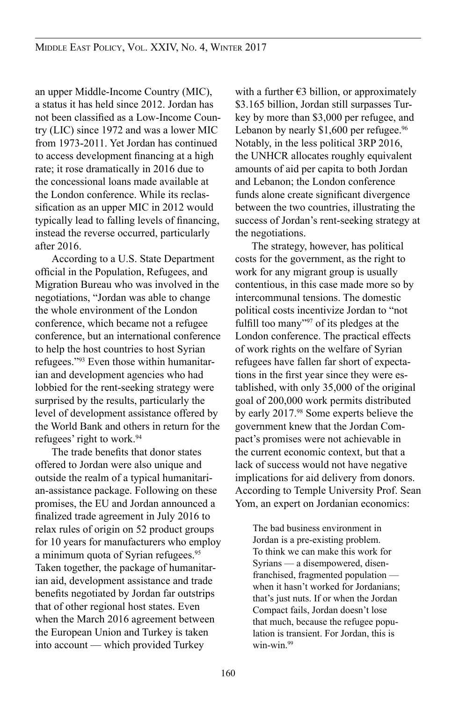an upper Middle-Income Country (MIC), a status it has held since 2012. Jordan has not been classified as a Low-Income Country (LIC) since 1972 and was a lower MIC from 1973-2011. Yet Jordan has continued to access development financing at a high rate; it rose dramatically in 2016 due to the concessional loans made available at the London conference. While its reclassification as an upper MIC in 2012 would typically lead to falling levels of financing, instead the reverse occurred, particularly after 2016.

According to a U.S. State Department official in the Population, Refugees, and Migration Bureau who was involved in the negotiations, "Jordan was able to change the whole environment of the London conference, which became not a refugee conference, but an international conference to help the host countries to host Syrian refugees."93 Even those within humanitarian and development agencies who had lobbied for the rent-seeking strategy were surprised by the results, particularly the level of development assistance offered by the World Bank and others in return for the refugees' right to work.94

The trade benefits that donor states offered to Jordan were also unique and outside the realm of a typical humanitarian-assistance package. Following on these promises, the EU and Jordan announced a finalized trade agreement in July 2016 to relax rules of origin on 52 product groups for 10 years for manufacturers who employ a minimum quota of Syrian refugees.<sup>95</sup> Taken together, the package of humanitarian aid, development assistance and trade benefits negotiated by Jordan far outstrips that of other regional host states. Even when the March 2016 agreement between the European Union and Turkey is taken into account — which provided Turkey

with a further  $\epsilon$ 3 billion, or approximately \$3.165 billion, Jordan still surpasses Turkey by more than \$3,000 per refugee, and Lebanon by nearly  $$1,600$  per refugee.<sup>96</sup> Notably, in the less political 3RP 2016, the UNHCR allocates roughly equivalent amounts of aid per capita to both Jordan and Lebanon; the London conference funds alone create significant divergence between the two countries, illustrating the success of Jordan's rent-seeking strategy at the negotiations.

The strategy, however, has political costs for the government, as the right to work for any migrant group is usually contentious, in this case made more so by intercommunal tensions. The domestic political costs incentivize Jordan to "not fulfill too many"<sup>97</sup> of its pledges at the London conference. The practical effects of work rights on the welfare of Syrian refugees have fallen far short of expectations in the first year since they were established, with only 35,000 of the original goal of 200,000 work permits distributed by early 2017.98 Some experts believe the government knew that the Jordan Compact's promises were not achievable in the current economic context, but that a lack of success would not have negative implications for aid delivery from donors. According to Temple University Prof. Sean Yom, an expert on Jordanian economics:

The bad business environment in Jordan is a pre-existing problem. To think we can make this work for Syrians — a disempowered, disenfranchised, fragmented population when it hasn't worked for Jordanians; that's just nuts. If or when the Jordan Compact fails, Jordan doesn't lose that much, because the refugee population is transient. For Jordan, this is win-win.99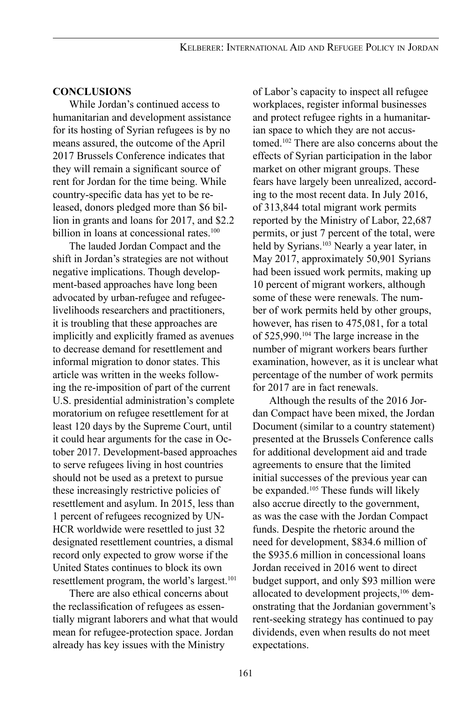#### **CONCLUSIONS**

While Jordan's continued access to humanitarian and development assistance for its hosting of Syrian refugees is by no means assured, the outcome of the April 2017 Brussels Conference indicates that they will remain a significant source of rent for Jordan for the time being. While country-specific data has yet to be released, donors pledged more than \$6 billion in grants and loans for 2017, and \$2.2 billion in loans at concessional rates.<sup>100</sup>

The lauded Jordan Compact and the shift in Jordan's strategies are not without negative implications. Though development-based approaches have long been advocated by urban-refugee and refugeelivelihoods researchers and practitioners, it is troubling that these approaches are implicitly and explicitly framed as avenues to decrease demand for resettlement and informal migration to donor states. This article was written in the weeks following the re-imposition of part of the current U.S. presidential administration's complete moratorium on refugee resettlement for at least 120 days by the Supreme Court, until it could hear arguments for the case in October 2017. Development-based approaches to serve refugees living in host countries should not be used as a pretext to pursue these increasingly restrictive policies of resettlement and asylum. In 2015, less than 1 percent of refugees recognized by UN-HCR worldwide were resettled to just 32 designated resettlement countries, a dismal record only expected to grow worse if the United States continues to block its own resettlement program, the world's largest.<sup>101</sup>

There are also ethical concerns about the reclassification of refugees as essentially migrant laborers and what that would mean for refugee-protection space. Jordan already has key issues with the Ministry

of Labor's capacity to inspect all refugee workplaces, register informal businesses and protect refugee rights in a humanitarian space to which they are not accustomed.102 There are also concerns about the effects of Syrian participation in the labor market on other migrant groups. These fears have largely been unrealized, according to the most recent data. In July 2016, of 313,844 total migrant work permits reported by the Ministry of Labor, 22,687 permits, or just 7 percent of the total, were held by Syrians.<sup>103</sup> Nearly a year later, in May 2017, approximately 50,901 Syrians had been issued work permits, making up 10 percent of migrant workers, although some of these were renewals. The number of work permits held by other groups, however, has risen to 475,081, for a total of 525,990.104 The large increase in the number of migrant workers bears further examination, however, as it is unclear what percentage of the number of work permits for 2017 are in fact renewals.

Although the results of the 2016 Jordan Compact have been mixed, the Jordan Document (similar to a country statement) presented at the Brussels Conference calls for additional development aid and trade agreements to ensure that the limited initial successes of the previous year can be expanded.<sup>105</sup> These funds will likely also accrue directly to the government, as was the case with the Jordan Compact funds. Despite the rhetoric around the need for development, \$834.6 million of the \$935.6 million in concessional loans Jordan received in 2016 went to direct budget support, and only \$93 million were allocated to development projects,<sup>106</sup> demonstrating that the Jordanian government's rent-seeking strategy has continued to pay dividends, even when results do not meet expectations.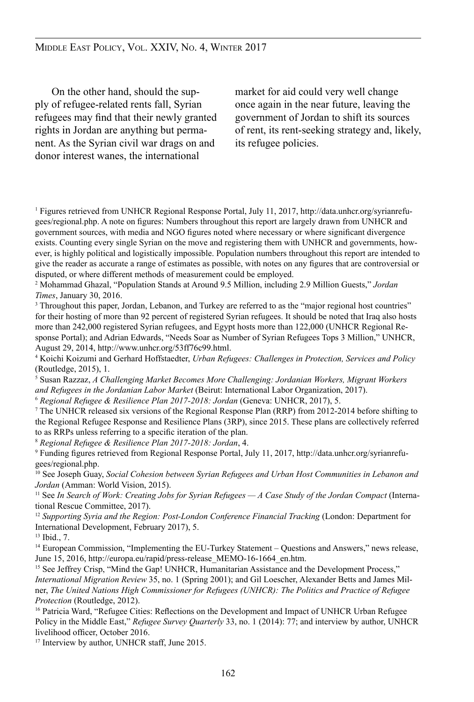On the other hand, should the supply of refugee-related rents fall, Syrian refugees may find that their newly granted rights in Jordan are anything but permanent. As the Syrian civil war drags on and donor interest wanes, the international

market for aid could very well change once again in the near future, leaving the government of Jordan to shift its sources of rent, its rent-seeking strategy and, likely, its refugee policies.

1 Figures retrieved from UNHCR Regional Response Portal, July 11, 2017, http://data.unhcr.org/syrianrefugees/regional.php. A note on figures: Numbers throughout this report are largely drawn from UNHCR and government sources, with media and NGO figures noted where necessary or where significant divergence exists. Counting every single Syrian on the move and registering them with UNHCR and governments, however, is highly political and logistically impossible. Population numbers throughout this report are intended to give the reader as accurate a range of estimates as possible, with notes on any figures that are controversial or disputed, or where different methods of measurement could be employed.

2 Mohammad Ghazal, "Population Stands at Around 9.5 Million, including 2.9 Million Guests," *Jordan Times*, January 30, 2016.

<sup>3</sup> Throughout this paper, Jordan, Lebanon, and Turkey are referred to as the "major regional host countries" for their hosting of more than 92 percent of registered Syrian refugees. It should be noted that Iraq also hosts more than 242,000 registered Syrian refugees, and Egypt hosts more than 122,000 (UNHCR Regional Response Portal); and Adrian Edwards, "Needs Soar as Number of Syrian Refugees Tops 3 Million," UNHCR, August 29, 2014, http://www.unhcr.org/53ff76c99.html.

4 Koichi Koizumi and Gerhard Hoffstaedter, *Urban Refugees: Challenges in Protection, Services and Policy* (Routledge, 2015), 1.

5 Susan Razzaz, *A Challenging Market Becomes More Challenging: Jordanian Workers, Migrant Workers and Refugees in the Jordanian Labor Market* (Beirut: International Labor Organization, 2017).

<sup>6</sup> *Regional Refugee & Resilience Plan 2017-2018: Jordan* (Geneva: UNHCR, 2017), 5.

7 The UNHCR released six versions of the Regional Response Plan (RRP) from 2012-2014 before shifting to the Regional Refugee Response and Resilience Plans (3RP), since 2015. These plans are collectively referred to as RRPs unless referring to a specific iteration of the plan.

<sup>8</sup> *Regional Refugee & Resilience Plan 2017-2018: Jordan*, 4.

9 Funding figures retrieved from Regional Response Portal, July 11, 2017, http://data.unhcr.org/syrianrefugees/regional.php.

10 See Joseph Guay, *Social Cohesion between Syrian Refugees and Urban Host Communities in Lebanon and Jordan* (Amman: World Vision, 2015).

11 See *In Search of Work: Creating Jobs for Syrian Refugees — A Case Study of the Jordan Compact* (International Rescue Committee, 2017).

<sup>12</sup> *Supporting Syria and the Region: Post-London Conference Financial Tracking* (London: Department for International Development, February 2017), 5.

<sup>13</sup> Ibid., 7.

<sup>14</sup> European Commission, "Implementing the EU-Turkey Statement – Questions and Answers," news release, June 15, 2016, http://europa.eu/rapid/press-release\_MEMO-16-1664\_en.htm.

<sup>15</sup> See Jeffrey Crisp, "Mind the Gap! UNHCR, Humanitarian Assistance and the Development Process," *International Migration Review* 35, no. 1 (Spring 2001); and Gil Loescher, Alexander Betts and James Milner, *The United Nations High Commissioner for Refugees (UNHCR): The Politics and Practice of Refugee Protection* (Routledge, 2012).

<sup>16</sup> Patricia Ward, "Refugee Cities: Reflections on the Development and Impact of UNHCR Urban Refugee Policy in the Middle East," *Refugee Survey Quarterly* 33, no. 1 (2014): 77; and interview by author, UNHCR livelihood officer, October 2016.

<sup>17</sup> Interview by author, UNHCR staff, June 2015.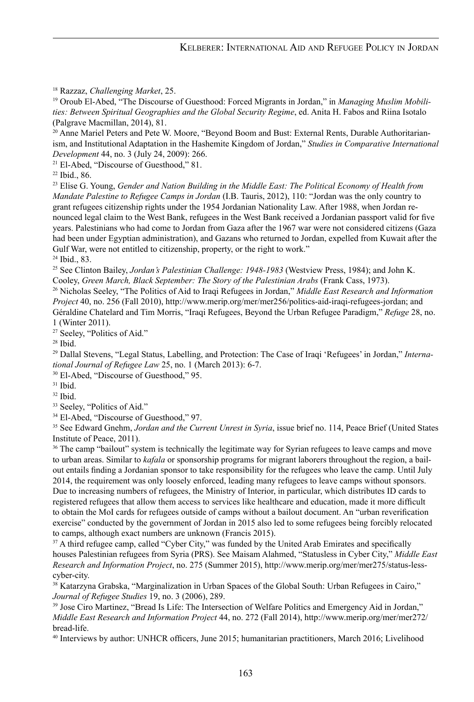18 Razzaz, *Challenging Market*, 25.

19 Oroub El-Abed, "The Discourse of Guesthood: Forced Migrants in Jordan," in *Managing Muslim Mobilities: Between Spiritual Geographies and the Global Security Regime*, ed. Anita H. Fabos and Riina Isotalo (Palgrave Macmillan, 2014), 81.

20 Anne Mariel Peters and Pete W. Moore, "Beyond Boom and Bust: External Rents, Durable Authoritarianism, and Institutional Adaptation in the Hashemite Kingdom of Jordan," *Studies in Comparative International Development* 44, no. 3 (July 24, 2009): 266.

<sup>21</sup> El-Abed, "Discourse of Guesthood," 81.

<sup>22</sup> Ibid., 86.

23 Elise G. Young, *Gender and Nation Building in the Middle East: The Political Economy of Health from Mandate Palestine to Refugee Camps in Jordan* (I.B. Tauris, 2012), 110: "Jordan was the only country to grant refugees citizenship rights under the 1954 Jordanian Nationality Law. After 1988, when Jordan renounced legal claim to the West Bank, refugees in the West Bank received a Jordanian passport valid for five years. Palestinians who had come to Jordan from Gaza after the 1967 war were not considered citizens (Gaza had been under Egyptian administration), and Gazans who returned to Jordan, expelled from Kuwait after the Gulf War, were not entitled to citizenship, property, or the right to work."

<sup>24</sup> Ibid., 83.

<sup>25</sup> See Clinton Bailey, *Jordan's Palestinian Challenge: 1948-1983* (Westview Press, 1984); and John K. Cooley, *Green March, Black September: The Story of the Palestinian Arabs* (Frank Cass, 1973).

<sup>26</sup> Nicholas Seeley, "The Politics of Aid to Iraqi Refugees in Jordan," *Middle East Research and Information Project* 40, no. 256 (Fall 2010), http://www.merip.org/mer/mer256/politics-aid-iraqi-refugees-jordan; and Géraldine Chatelard and Tim Morris, "Iraqi Refugees, Beyond the Urban Refugee Paradigm," *Refuge* 28, no. 1 (Winter 2011).

<sup>27</sup> Seeley, "Politics of Aid."

<sup>28</sup> Ibid.

29 Dallal Stevens, "Legal Status, Labelling, and Protection: The Case of Iraqi 'Refugees' in Jordan," *International Journal of Refugee Law* 25, no. 1 (March 2013): 6-7.

<sup>30</sup> El-Abed, "Discourse of Guesthood," 95.

 $31$  Ibid.

 $32$  Ibid.

<sup>33</sup> Seeley, "Politics of Aid."

<sup>34</sup> El-Abed, "Discourse of Guesthood," 97.

35 See Edward Gnehm, *Jordan and the Current Unrest in Syria*, issue brief no. 114, Peace Brief (United States Institute of Peace, 2011).

<sup>36</sup> The camp "bailout" system is technically the legitimate way for Syrian refugees to leave camps and move to urban areas. Similar to *kafala* or sponsorship programs for migrant laborers throughout the region, a bailout entails finding a Jordanian sponsor to take responsibility for the refugees who leave the camp. Until July 2014, the requirement was only loosely enforced, leading many refugees to leave camps without sponsors. Due to increasing numbers of refugees, the Ministry of Interior, in particular, which distributes ID cards to registered refugees that allow them access to services like healthcare and education, made it more difficult to obtain the MoI cards for refugees outside of camps without a bailout document. An "urban reverification exercise" conducted by the government of Jordan in 2015 also led to some refugees being forcibly relocated to camps, although exact numbers are unknown (Francis 2015).

<sup>37</sup> A third refugee camp, called "Cyber City," was funded by the United Arab Emirates and specifically houses Palestinian refugees from Syria (PRS). See Maisam Alahmed, "Statusless in Cyber City," *Middle East Research and Information Project*, no. 275 (Summer 2015), http://www.merip.org/mer/mer275/status-lesscyber-city.

<sup>38</sup> Katarzyna Grabska, "Marginalization in Urban Spaces of the Global South: Urban Refugees in Cairo," *Journal of Refugee Studies* 19, no. 3 (2006), 289.

<sup>39</sup> Jose Ciro Martinez, "Bread Is Life: The Intersection of Welfare Politics and Emergency Aid in Jordan," *Middle East Research and Information Project* 44, no. 272 (Fall 2014), http://www.merip.org/mer/mer272/ bread-life.

40 Interviews by author: UNHCR officers, June 2015; humanitarian practitioners, March 2016; Livelihood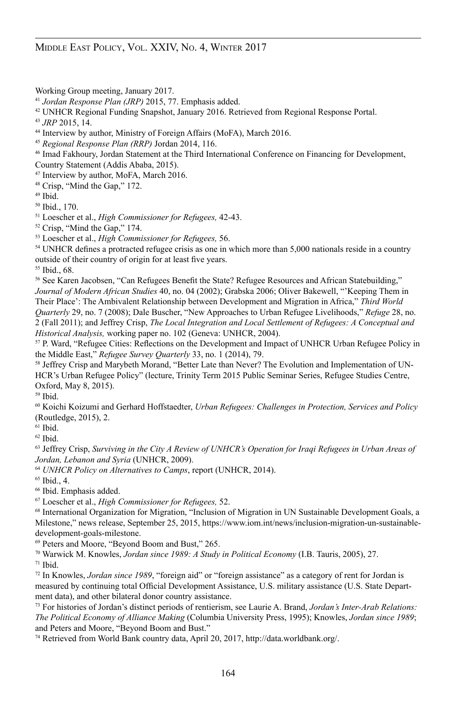Working Group meeting, January 2017.

<sup>41</sup> *Jordan Response Plan (JRP)* 2015, 77. Emphasis added.

42 UNHCR Regional Funding Snapshot, January 2016. Retrieved from Regional Response Portal.

<sup>43</sup> *JRP* 2015, 14.

<sup>44</sup> Interview by author, Ministry of Foreign Affairs (MoFA), March 2016.

<sup>45</sup> *Regional Response Plan (RRP)* Jordan 2014, 116.

<sup>46</sup> Imad Fakhoury, Jordan Statement at the Third International Conference on Financing for Development, Country Statement (Addis Ababa, 2015).

<sup>47</sup> Interview by author, MoFA, March 2016.

<sup>48</sup> Crisp, "Mind the Gap," 172.

<sup>49</sup> Ibid.

<sup>50</sup> Ibid., 170.

51 Loescher et al., *High Commissioner for Refugees,* 42-43.

<sup>52</sup> Crisp, "Mind the Gap," 174.

53 Loescher et al., *High Commissioner for Refugees,* 56.

<sup>54</sup> UNHCR defines a protracted refugee crisis as one in which more than 5,000 nationals reside in a country outside of their country of origin for at least five years.

<sup>55</sup> Ibid., 68.

<sup>56</sup> See Karen Jacobsen, "Can Refugees Benefit the State? Refugee Resources and African Statebuilding," *Journal of Modern African Studies* 40, no. 04 (2002); Grabska 2006; Oliver Bakewell, "'Keeping Them in Their Place': The Ambivalent Relationship between Development and Migration in Africa," *Third World Quarterly* 29, no. 7 (2008); Dale Buscher, "New Approaches to Urban Refugee Livelihoods," *Refuge* 28, no. 2 (Fall 2011); and Jeffrey Crisp, *The Local Integration and Local Settlement of Refugees: A Conceptual and Historical Analysis,* working paper no. 102 (Geneva: UNHCR, 2004).

<sup>57</sup> P. Ward, "Refugee Cities: Reflections on the Development and Impact of UNHCR Urban Refugee Policy in the Middle East," *Refugee Survey Quarterly* 33, no. 1 (2014), 79.

58 Jeffrey Crisp and Marybeth Morand, "Better Late than Never? The Evolution and Implementation of UN-HCR's Urban Refugee Policy" (lecture, Trinity Term 2015 Public Seminar Series, Refugee Studies Centre, Oxford, May 8, 2015).

 $59$  Ibid.

60 Koichi Koizumi and Gerhard Hoffstaedter, *Urban Refugees: Challenges in Protection, Services and Policy* (Routledge, 2015), 2.

 $61$  Ibid.

 $62$  Ibid.

63 Jeffrey Crisp, *Surviving in the City A Review of UNHCR's Operation for Iraqi Refugees in Urban Areas of Jordan, Lebanon and Syria* (UNHCR, 2009).

<sup>64</sup> *UNHCR Policy on Alternatives to Camps*, report (UNHCR, 2014).

<sup>65</sup> Ibid., 4.

<sup>66</sup> Ibid. Emphasis added.

67 Loescher et al., *High Commissioner for Refugees,* 52.

<sup>68</sup> International Organization for Migration, "Inclusion of Migration in UN Sustainable Development Goals, a Milestone," news release, September 25, 2015, https://www.iom.int/news/inclusion-migration-un-sustainabledevelopment-goals-milestone.

<sup>69</sup> Peters and Moore, "Beyond Boom and Bust," 265.

70 Warwick M. Knowles, *Jordan since 1989: A Study in Political Economy* (I.B. Tauris, 2005), 27.  $71$  Ibid.

<sup>72</sup> In Knowles, *Jordan since 1989*, "foreign aid" or "foreign assistance" as a category of rent for Jordan is measured by continuing total Official Development Assistance, U.S. military assistance (U.S. State Department data), and other bilateral donor country assistance.

<sup>73</sup> For histories of Jordan's distinct periods of rentierism, see Laurie A. Brand, *Jordan's Inter-Arab Relations: The Political Economy of Alliance Making* (Columbia University Press, 1995); Knowles, *Jordan since 1989*; and Peters and Moore, "Beyond Boom and Bust."

74 Retrieved from World Bank country data, April 20, 2017, http://data.worldbank.org/.